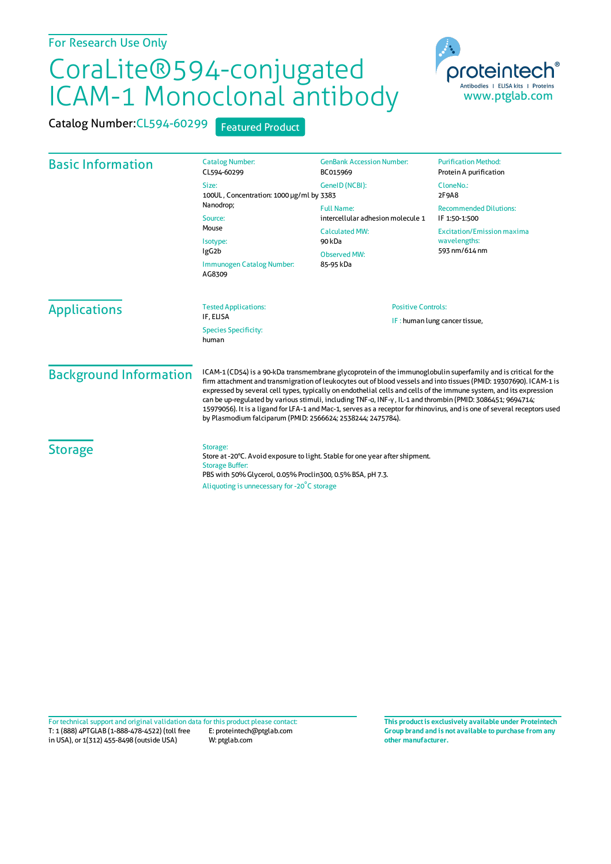## CoraLite®594-conjugated ICAM-1 Monoclonal antibody



Catalog Number: CL594-60299 Featured Product

| <b>Basic Information</b>      | <b>Catalog Number:</b><br>CL594-60299                                                                                                                                                                                                                                                                                                                                                                                                                                                                                                                                                                                                                               | <b>GenBank Accession Number:</b><br>BC015969                                                                           | <b>Purification Method:</b><br>Protein A purification                                                                |                     |                                          |                                                            |  |
|-------------------------------|---------------------------------------------------------------------------------------------------------------------------------------------------------------------------------------------------------------------------------------------------------------------------------------------------------------------------------------------------------------------------------------------------------------------------------------------------------------------------------------------------------------------------------------------------------------------------------------------------------------------------------------------------------------------|------------------------------------------------------------------------------------------------------------------------|----------------------------------------------------------------------------------------------------------------------|---------------------|------------------------------------------|------------------------------------------------------------|--|
|                               | Size:<br>100UL, Concentration: 1000 µg/ml by 3383<br>Nanodrop;<br>Source:<br>Mouse<br>Isotype:<br>IgG <sub>2</sub> b<br>Immunogen Catalog Number:<br>AG8309                                                                                                                                                                                                                                                                                                                                                                                                                                                                                                         | GeneID (NCBI):                                                                                                         | CloneNo.:<br>2F9A8                                                                                                   |                     |                                          |                                                            |  |
|                               |                                                                                                                                                                                                                                                                                                                                                                                                                                                                                                                                                                                                                                                                     | <b>Full Name:</b><br>intercellular adhesion molecule 1<br><b>Calculated MW:</b><br>90 kDa<br>Observed MW:<br>85-95 kDa | <b>Recommended Dilutions:</b><br>IF 1:50-1:500<br><b>Excitation/Emission maxima</b><br>wavelengths:<br>593 nm/614 nm |                     |                                          |                                                            |  |
|                               |                                                                                                                                                                                                                                                                                                                                                                                                                                                                                                                                                                                                                                                                     |                                                                                                                        |                                                                                                                      | <b>Applications</b> | <b>Tested Applications:</b><br>IF, ELISA | <b>Positive Controls:</b><br>IF: human lung cancer tissue, |  |
|                               |                                                                                                                                                                                                                                                                                                                                                                                                                                                                                                                                                                                                                                                                     |                                                                                                                        |                                                                                                                      |                     | <b>Species Specificity:</b><br>human     |                                                            |  |
| <b>Background Information</b> | ICAM-1 (CD54) is a 90-kDa transmembrane glycoprotein of the immunoglobulin superfamily and is critical for the<br>firm attachment and transmigration of leukocytes out of blood vessels and into tissues (PMID: 19307690). ICAM-1 is<br>expressed by several cell types, typically on endothelial cells and cells of the immune system, and its expression<br>can be up-regulated by various stimuli, including TNF-q, INF-y, IL-1 and thrombin (PMID: 3086451; 9694714;<br>15979056). It is a ligand for LFA-1 and Mac-1, serves as a receptor for rhinovirus, and is one of several receptors used<br>by Plasmodium falciparum (PMID: 2566624; 2538244; 2475784). |                                                                                                                        |                                                                                                                      |                     |                                          |                                                            |  |
| <b>Storage</b>                | Storage:<br>Store at -20°C. Avoid exposure to light. Stable for one year after shipment.<br><b>Storage Buffer:</b><br>PBS with 50% Glycerol, 0.05% Proclin300, 0.5% BSA, pH 7.3.<br>Aliquoting is unnecessary for -20°C storage                                                                                                                                                                                                                                                                                                                                                                                                                                     |                                                                                                                        |                                                                                                                      |                     |                                          |                                                            |  |

T: 1 (888) 4PTGLAB (1-888-478-4522) (toll free in USA), or 1(312) 455-8498 (outside USA) E: proteintech@ptglab.com W: ptglab.com Fortechnical support and original validation data forthis product please contact: **This productis exclusively available under Proteintech**

**Group brand and is not available to purchase from any other manufacturer.**